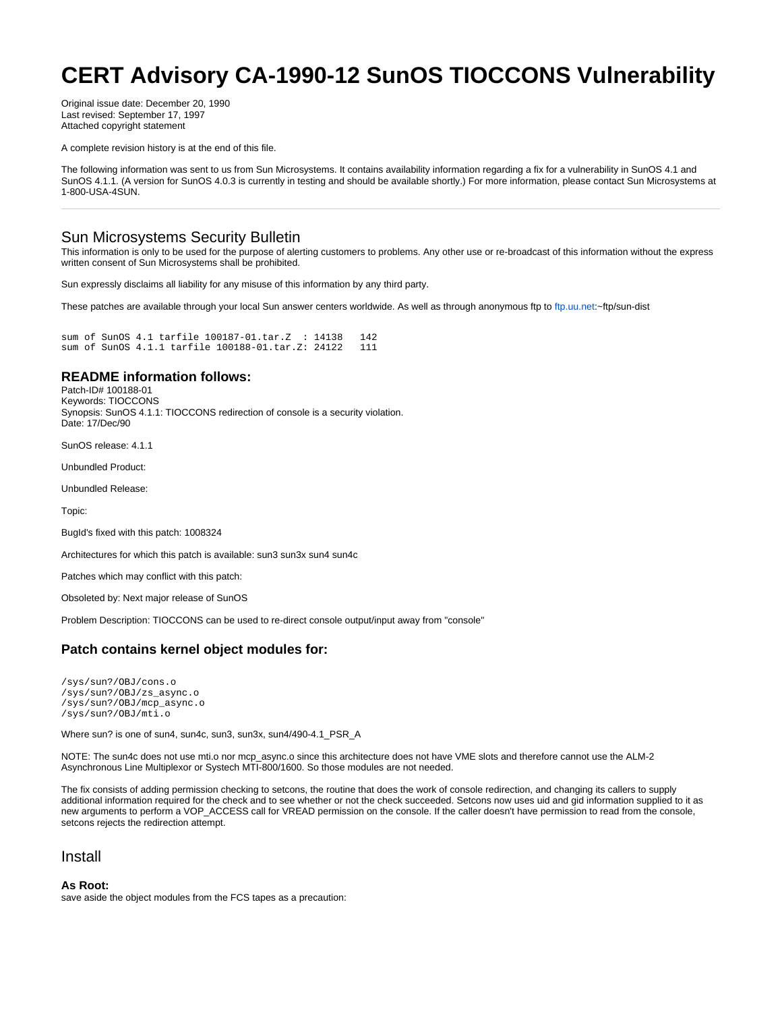# **CERT Advisory CA-1990-12 SunOS TIOCCONS Vulnerability**

Original issue date: December 20, 1990 Last revised: September 17, 1997 Attached copyright statement

A complete revision history is at the end of this file.

The following information was sent to us from Sun Microsystems. It contains availability information regarding a fix for a vulnerability in SunOS 4.1 and SunOS 4.1.1. (A version for SunOS 4.0.3 is currently in testing and should be available shortly.) For more information, please contact Sun Microsystems at 1-800-USA-4SUN.

## Sun Microsystems Security Bulletin

This information is only to be used for the purpose of alerting customers to problems. Any other use or re-broadcast of this information without the express written consent of Sun Microsystems shall be prohibited.

Sun expressly disclaims all liability for any misuse of this information by any third party.

These patches are available through your local Sun answer centers worldwide. As well as through anonymous ftp to [ftp.uu.net:](ftp://ftp.uu.net>ftp.uu.net</A> in the
~ftp/sun-dist directory.

<P>Please refer to the BugID and PatchID when requesting patches from Sun
answer centers.

<P>NO README information will be posted in the patch on UUNET. Please refer
the the information below for patch installation instructions.

<P>
<PRE>
Sun Bug ID   : 1008324
Synopsis     : TIOCCONS redirection of console input/output is a security 
               violation.
Sun Patch ID : for SunOS 4.1, SunOS 4.1_PSR_A 100187-01
Sun Patch ID : for SunOS 4.1.1 100188-01
Available for: Sun3, Sun3x, Sun4 Sun4c
               SunOS 4.1, SunOS 4.1_PSR_A, SunOS 4.1.1
	</PRE>       
Checksum of compressed tarfile on <A HREF=)~ftp/sun-dist

sum of SunOS 4.1 tarfile 100187-01.tar.Z : 14138 142 sum of SunOS 4.1.1 tarfile 100188-01.tar.Z: 24122 111

### **README information follows:**

Patch-ID# 100188-01 Keywords: TIOCCONS Synopsis: SunOS 4.1.1: TIOCCONS redirection of console is a security violation. Date: 17/Dec/90

SunOS release: 4.1.1

Unbundled Product:

Unbundled Release:

Topic:

BugId's fixed with this patch: 1008324

Architectures for which this patch is available: sun3 sun3x sun4 sun4c

Patches which may conflict with this patch:

Obsoleted by: Next major release of SunOS

Problem Description: TIOCCONS can be used to re-direct console output/input away from "console"

### **Patch contains kernel object modules for:**

/sys/sun?/OBJ/cons.o /sys/sun?/OBJ/zs\_async.o /sys/sun?/OBJ/mcp\_async.o /sys/sun?/OBJ/mti.o

Where sun? is one of sun4, sun4c, sun3, sun3x, sun4/490-4.1\_PSR\_A

NOTE: The sun4c does not use mti.o nor mcp\_async.o since this architecture does not have VME slots and therefore cannot use the ALM-2 Asynchronous Line Multiplexor or Systech MTI-800/1600. So those modules are not needed.

The fix consists of adding permission checking to setcons, the routine that does the work of console redirection, and changing its callers to supply additional information required for the check and to see whether or not the check succeeded. Setcons now uses uid and gid information supplied to it as new arguments to perform a VOP\_ACCESS call for VREAD permission on the console. If the caller doesn't have permission to read from the console, setcons rejects the redirection attempt.

### Install

#### **As Root:**

save aside the object modules from the FCS tapes as a precaution: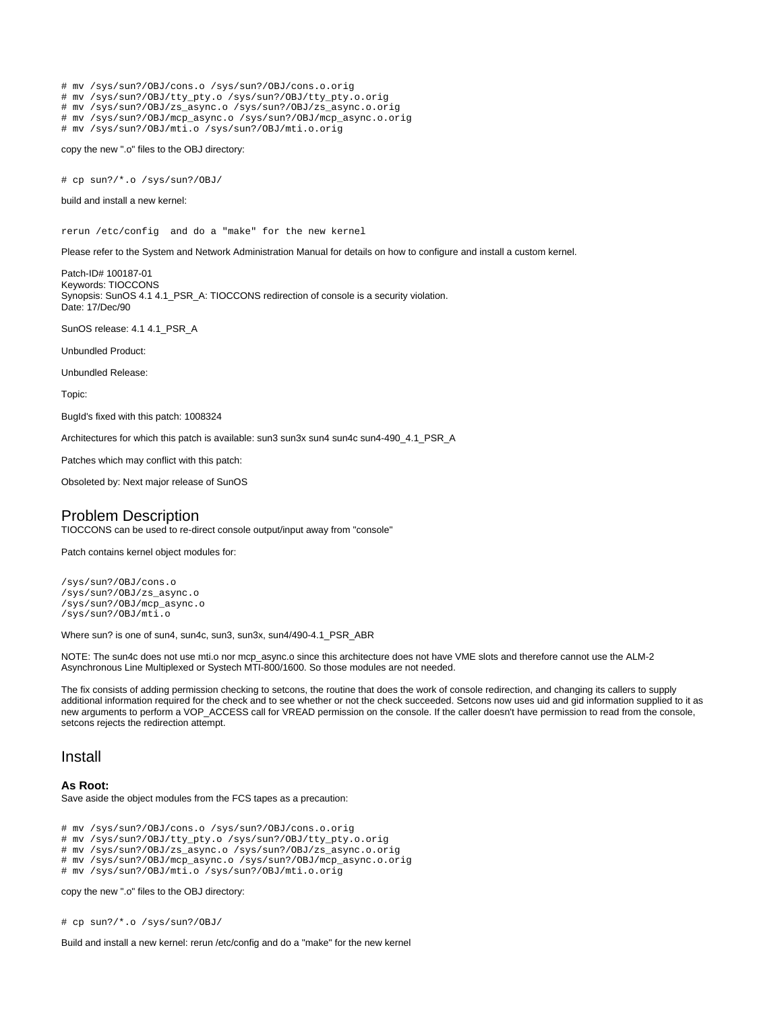# mv /sys/sun?/OBJ/cons.o /sys/sun?/OBJ/cons.o.orig # mv /sys/sun?/OBJ/tty\_pty.o /sys/sun?/OBJ/tty\_pty.o.orig # mv /sys/sun?/OBJ/zs\_async.o /sys/sun?/OBJ/zs\_async.o.orig # mv /sys/sun?/OBJ/mcp\_async.o /sys/sun?/OBJ/mcp\_async.o.orig # mv /sys/sun?/OBJ/mti.o /sys/sun?/OBJ/mti.o.orig

copy the new ".o" files to the OBJ directory:

# cp sun?/\*.o /sys/sun?/OBJ/

build and install a new kernel:

rerun /etc/config and do a "make" for the new kernel

Please refer to the System and Network Administration Manual for details on how to configure and install a custom kernel.

Patch-ID# 100187-01 Keywords: TIOCCONS Synopsis: SunOS 4.1 4.1\_PSR\_A: TIOCCONS redirection of console is a security violation. Date: 17/Dec/90

SunOS release: 4.1 4.1\_PSR\_A

Unbundled Product:

Unbundled Release:

Topic:

BugId's fixed with this patch: 1008324

Architectures for which this patch is available: sun3 sun3x sun4 sun4c sun4-490\_4.1\_PSR\_A

Patches which may conflict with this patch:

Obsoleted by: Next major release of SunOS

# Problem Description

TIOCCONS can be used to re-direct console output/input away from "console"

Patch contains kernel object modules for:

/sys/sun?/OBJ/cons.o /sys/sun?/OBJ/zs\_async.o /sys/sun?/OBJ/mcp\_async.o /sys/sun?/OBJ/mti.o

Where sun? is one of sun4, sun4c, sun3, sun3x, sun4/490-4.1\_PSR\_ABR

NOTE: The sun4c does not use mti.o nor mcp\_async.o since this architecture does not have VME slots and therefore cannot use the ALM-2 Asynchronous Line Multiplexed or Systech MTI-800/1600. So those modules are not needed.

The fix consists of adding permission checking to setcons, the routine that does the work of console redirection, and changing its callers to supply additional information required for the check and to see whether or not the check succeeded. Setcons now uses uid and gid information supplied to it as new arguments to perform a VOP\_ACCESS call for VREAD permission on the console. If the caller doesn't have permission to read from the console, setcons rejects the redirection attempt.

### Install

#### **As Root:**

Save aside the object modules from the FCS tapes as a precaution:

# mv /sys/sun?/OBJ/cons.o /sys/sun?/OBJ/cons.o.orig

# mv /sys/sun?/OBJ/tty\_pty.o /sys/sun?/OBJ/tty\_pty.o.orig

# mv /sys/sun?/OBJ/zs\_async.o /sys/sun?/OBJ/zs\_async.o.orig

# mv /sys/sun?/OBJ/mcp\_async.o /sys/sun?/OBJ/mcp\_async.o.orig

# mv /sys/sun?/OBJ/mti.o /sys/sun?/OBJ/mti.o.orig

copy the new ".o" files to the OBJ directory:

# cp sun?/\*.o /sys/sun?/OBJ/

Build and install a new kernel: rerun /etc/config and do a "make" for the new kernel